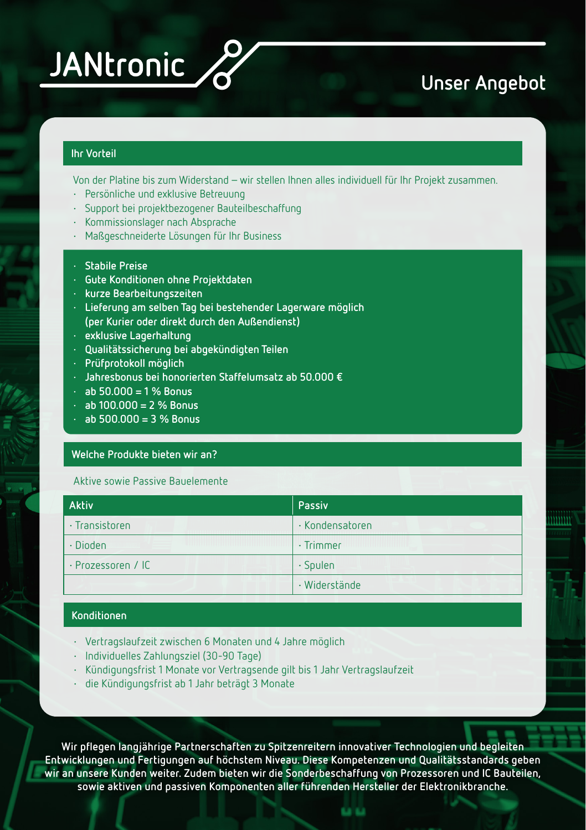

# **Unser Angebot**

## **Ihr Vorteil**

Von der Platine bis zum Widerstand – wir stellen Ihnen alles individuell für Ihr Projekt zusammen.

- **·** Persönliche und exklusive Betreuung
- **·** Support bei projektbezogener Bauteilbeschaffung
- **·** Kommissionslager nach Absprache
- **·** Maßgeschneiderte Lösungen für Ihr Business
- **· Stabile Preise**
- **· Gute Konditionen ohne Projektdaten**
- **· kurze Bearbeitungszeiten**
- **· Lieferung am selben Tag bei bestehender Lagerware möglich (per Kurier oder direkt durch den Außendienst)**
- **· exklusive Lagerhaltung**
- **· Qualitätssicherung bei abgekündigten Teilen**
- **· Prüfprotokoll möglich**
- **· Jahresbonus bei honorierten Staffelumsatz ab 50.000 €**
- **· ab 50.000 = 1 % Bonus**
- **· ab 100.000 = 2 % Bonus**
- **· ab 500.000 = 3 % Bonus**

#### **Welche Produkte bieten wir an?**

Aktive sowie Passive Bauelemente

| <b>Aktiv</b>       | Passiv              |
|--------------------|---------------------|
| · Transistoren     | · Kondensatoren     |
| · Dioden           | $\cdot$ Trimmer     |
| · Prozessoren / IC | $\cdot$ Spulen      |
|                    | $\cdot$ Widerstände |

### **Konditionen**

- **·** Vertragslaufzeit zwischen 6 Monaten und 4 Jahre möglich
- **·** Individuelles Zahlungsziel (30-90 Tage)
- **·** Kündigungsfrist 1 Monate vor Vertragsende gilt bis 1 Jahr Vertragslaufzeit
- **·** die Kündigungsfrist ab 1 Jahr beträgt 3 Monate

**Wir pflegen langjährige Partnerschaften zu Spitzenreitern innovativer Technologien und begleiten Entwicklungen und Fertigungen auf höchstem Niveau. Diese Kompetenzen und Qualitätsstandards geben wir an unsere Kunden weiter. Zudem bieten wir die Sonderbeschaffung von Prozessoren und IC Bauteilen, sowie aktiven und passiven Komponenten aller führenden Hersteller der Elektronikbranche.**